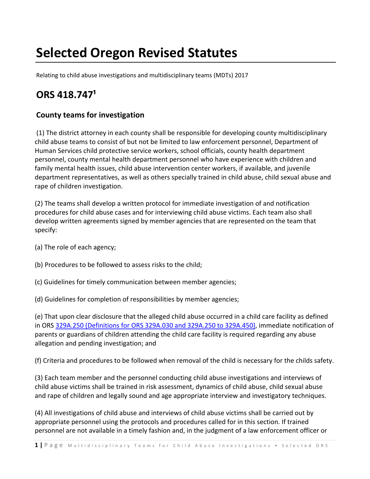# **Selected Oregon Revised Statutes**

Relating to child abuse investigations and multidisciplinary teams (MDTs) 2017

# **ORS 418.747¹**

### **County teams for investigation**

(1) The district attorney in each county shall be responsible for developing county multidisciplinary child abuse teams to consist of but not be limited to law enforcement personnel, Department of Human Services child protective service workers, school officials, county health department personnel, county mental health department personnel who have experience with children and family mental health issues, child abuse intervention center workers, if available, and juvenile department representatives, as well as others specially trained in child abuse, child sexual abuse and rape of children investigation.

(2) The teams shall develop a written protocol for immediate investigation of and notification procedures for child abuse cases and for interviewing child abuse victims. Each team also shall develop written agreements signed by member agencies that are represented on the team that specify:

- (a) The role of each agency;
- (b) Procedures to be followed to assess risks to the child;
- (c) Guidelines for timely communication between member agencies;
- (d) Guidelines for completion of responsibilities by member agencies;

(e) That upon clear disclosure that the alleged child abuse occurred in a child care facility as defined in ORS 329A.250 (Definitions for ORS 329A.030 and 329A.250 to 329A.450), immediate notification of parents or guardians of children attending the child care facility is required regarding any abuse allegation and pending investigation; and

(f) Criteria and procedures to be followed when removal of the child is necessary for the childs safety.

(3) Each team member and the personnel conducting child abuse investigations and interviews of child abuse victims shall be trained in risk assessment, dynamics of child abuse, child sexual abuse and rape of children and legally sound and age appropriate interview and investigatory techniques.

(4) All investigations of child abuse and interviews of child abuse victims shall be carried out by appropriate personnel using the protocols and procedures called for in this section. If trained personnel are not available in a timely fashion and, in the judgment of a law enforcement officer or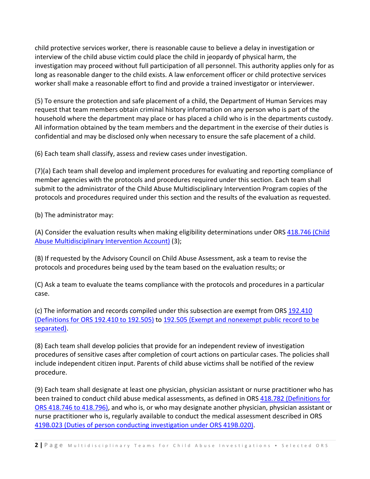child protective services worker, there is reasonable cause to believe a delay in investigation or interview of the child abuse victim could place the child in jeopardy of physical harm, the investigation may proceed without full participation of all personnel. This authority applies only for as long as reasonable danger to the child exists. A law enforcement officer or child protective services worker shall make a reasonable effort to find and provide a trained investigator or interviewer.

(5) To ensure the protection and safe placement of a child, the Department of Human Services may request that team members obtain criminal history information on any person who is part of the household where the department may place or has placed a child who is in the departments custody. All information obtained by the team members and the department in the exercise of their duties is confidential and may be disclosed only when necessary to ensure the safe placement of a child.

(6) Each team shall classify, assess and review cases under investigation.

(7)(a) Each team shall develop and implement procedures for evaluating and reporting compliance of member agencies with the protocols and procedures required under this section. Each team shall submit to the administrator of the Child Abuse Multidisciplinary Intervention Program copies of the protocols and procedures required under this section and the results of the evaluation as requested.

(b) The administrator may:

(A) Consider the evaluation results when making eligibility determinations under ORS 418.746 (Child Abuse Multidisciplinary Intervention Account) (3);

(B) If requested by the Advisory Council on Child Abuse Assessment, ask a team to revise the protocols and procedures being used by the team based on the evaluation results; or

(C) Ask a team to evaluate the teams compliance with the protocols and procedures in a particular case.

(c) The information and records compiled under this subsection are exempt from ORS 192.410 (Definitions for ORS 192.410 to 192.505) to 192.505 (Exempt and nonexempt public record to be separated).

(8) Each team shall develop policies that provide for an independent review of investigation procedures of sensitive cases after completion of court actions on particular cases. The policies shall include independent citizen input. Parents of child abuse victims shall be notified of the review procedure.

(9) Each team shall designate at least one physician, physician assistant or nurse practitioner who has been trained to conduct child abuse medical assessments, as defined in ORS 418.782 (Definitions for ORS 418.746 to 418.796), and who is, or who may designate another physician, physician assistant or nurse practitioner who is, regularly available to conduct the medical assessment described in ORS 419B.023 (Duties of person conducting investigation under ORS 419B.020).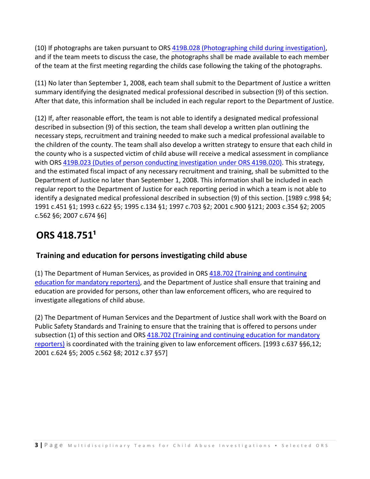(10) If photographs are taken pursuant to ORS 419B.028 (Photographing child during investigation), and if the team meets to discuss the case, the photographs shall be made available to each member of the team at the first meeting regarding the childs case following the taking of the photographs.

(11) No later than September 1, 2008, each team shall submit to the Department of Justice a written summary identifying the designated medical professional described in subsection (9) of this section. After that date, this information shall be included in each regular report to the Department of Justice.

(12) If, after reasonable effort, the team is not able to identify a designated medical professional described in subsection (9) of this section, the team shall develop a written plan outlining the necessary steps, recruitment and training needed to make such a medical professional available to the children of the county. The team shall also develop a written strategy to ensure that each child in the county who is a suspected victim of child abuse will receive a medical assessment in compliance with ORS 419B.023 (Duties of person conducting investigation under ORS 419B.020). This strategy, and the estimated fiscal impact of any necessary recruitment and training, shall be submitted to the Department of Justice no later than September 1, 2008. This information shall be included in each regular report to the Department of Justice for each reporting period in which a team is not able to identify a designated medical professional described in subsection (9) of this section. [1989 c.998 §4; 1991 c.451 §1; 1993 c.622 §5; 1995 c.134 §1; 1997 c.703 §2; 2001 c.900 §121; 2003 c.354 §2; 2005 c.562 §6; 2007 c.674 §6]

# **ORS 418.751¹**

#### **Training and education for persons investigating child abuse**

(1) The Department of Human Services, as provided in ORS 418.702 (Training and continuing education for mandatory reporters), and the Department of Justice shall ensure that training and education are provided for persons, other than law enforcement officers, who are required to investigate allegations of child abuse.

(2) The Department of Human Services and the Department of Justice shall work with the Board on Public Safety Standards and Training to ensure that the training that is offered to persons under subsection (1) of this section and ORS 418.702 (Training and continuing education for mandatory reporters) is coordinated with the training given to law enforcement officers. [1993 c.637 §§6,12; 2001 c.624 §5; 2005 c.562 §8; 2012 c.37 §57]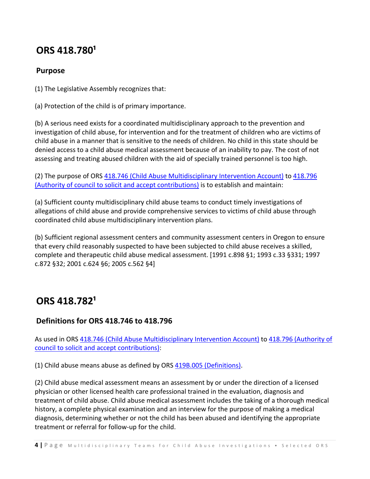### **ORS 418.780¹**

#### **Purpose**

(1) The Legislative Assembly recognizes that:

(a) Protection of the child is of primary importance.

(b) A serious need exists for a coordinated multidisciplinary approach to the prevention and investigation of child abuse, for intervention and for the treatment of children who are victims of child abuse in a manner that is sensitive to the needs of children. No child in this state should be denied access to a child abuse medical assessment because of an inability to pay. The cost of not assessing and treating abused children with the aid of specially trained personnel is too high.

(2) The purpose of ORS 418.746 (Child Abuse Multidisciplinary Intervention Account) to 418.796 (Authority of council to solicit and accept contributions) is to establish and maintain:

(a) Sufficient county multidisciplinary child abuse teams to conduct timely investigations of allegations of child abuse and provide comprehensive services to victims of child abuse through coordinated child abuse multidisciplinary intervention plans.

(b) Sufficient regional assessment centers and community assessment centers in Oregon to ensure that every child reasonably suspected to have been subjected to child abuse receives a skilled, complete and therapeutic child abuse medical assessment. [1991 c.898 §1; 1993 c.33 §331; 1997 c.872 §32; 2001 c.624 §6; 2005 c.562 §4]

### **ORS 418.782¹**

#### **Definitions for ORS 418.746 to 418.796**

As used in ORS 418.746 (Child Abuse Multidisciplinary Intervention Account) to 418.796 (Authority of council to solicit and accept contributions):

(1) Child abuse means abuse as defined by ORS 419B.005 (Definitions).

(2) Child abuse medical assessment means an assessment by or under the direction of a licensed physician or other licensed health care professional trained in the evaluation, diagnosis and treatment of child abuse. Child abuse medical assessment includes the taking of a thorough medical history, a complete physical examination and an interview for the purpose of making a medical diagnosis, determining whether or not the child has been abused and identifying the appropriate treatment or referral for follow‐up for the child.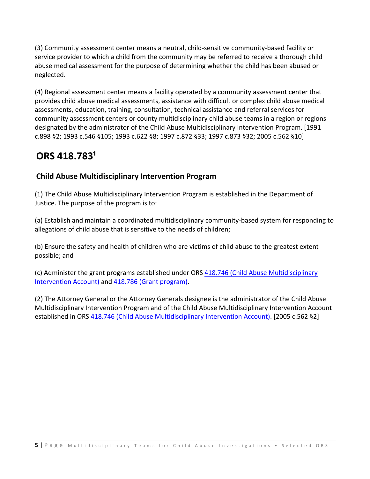(3) Community assessment center means a neutral, child‐sensitive community‐based facility or service provider to which a child from the community may be referred to receive a thorough child abuse medical assessment for the purpose of determining whether the child has been abused or neglected.

(4) Regional assessment center means a facility operated by a community assessment center that provides child abuse medical assessments, assistance with difficult or complex child abuse medical assessments, education, training, consultation, technical assistance and referral services for community assessment centers or county multidisciplinary child abuse teams in a region or regions designated by the administrator of the Child Abuse Multidisciplinary Intervention Program. [1991 c.898 §2; 1993 c.546 §105; 1993 c.622 §8; 1997 c.872 §33; 1997 c.873 §32; 2005 c.562 §10]

### **ORS 418.783¹**

### **Child Abuse Multidisciplinary Intervention Program**

(1) The Child Abuse Multidisciplinary Intervention Program is established in the Department of Justice. The purpose of the program is to:

(a) Establish and maintain a coordinated multidisciplinary community‐based system for responding to allegations of child abuse that is sensitive to the needs of children;

(b) Ensure the safety and health of children who are victims of child abuse to the greatest extent possible; and

(c) Administer the grant programs established under ORS 418.746 (Child Abuse Multidisciplinary Intervention Account) and 418.786 (Grant program).

(2) The Attorney General or the Attorney Generals designee is the administrator of the Child Abuse Multidisciplinary Intervention Program and of the Child Abuse Multidisciplinary Intervention Account established in ORS 418.746 (Child Abuse Multidisciplinary Intervention Account). [2005 c.562 §2]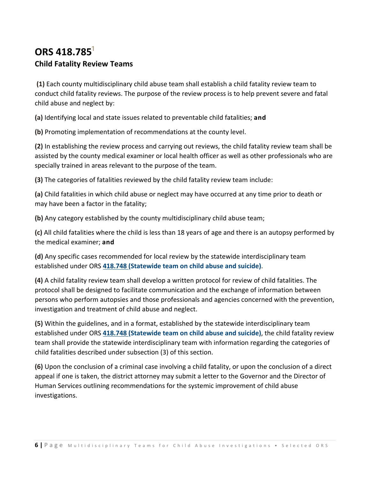### **ORS** 418.785<sup>1</sup> **Child Fatality Review Teams**

**(1)** Each county multidisciplinary child abuse team shall establish a child fatality review team to conduct child fatality reviews. The purpose of the review process is to help prevent severe and fatal child abuse and neglect by:

**(a)** Identifying local and state issues related to preventable child fatalities; **and**

**(b)** Promoting implementation of recommendations at the county level.

**(2)** In establishing the review process and carrying out reviews, the child fatality review team shall be assisted by the county medical examiner or local health officer as well as other professionals who are specially trained in areas relevant to the purpose of the team.

**(3)** The categories of fatalities reviewed by the child fatality review team include:

**(a)** Child fatalities in which child abuse or neglect may have occurred at any time prior to death or may have been a factor in the fatality;

**(b)** Any category established by the county multidisciplinary child abuse team;

**(c)** All child fatalities where the child is less than 18 years of age and there is an autopsy performed by the medical examiner; **and**

**(d)** Any specific cases recommended for local review by the statewide interdisciplinary team established under ORS **418.748 (Statewide team on child abuse and suicide)**.

**(4)** A child fatality review team shall develop a written protocol for review of child fatalities. The protocol shall be designed to facilitate communication and the exchange of information between persons who perform autopsies and those professionals and agencies concerned with the prevention, investigation and treatment of child abuse and neglect.

**(5)** Within the guidelines, and in a format, established by the statewide interdisciplinary team established under ORS **418.748 (Statewide team on child abuse and suicide)**, the child fatality review team shall provide the statewide interdisciplinary team with information regarding the categories of child fatalities described under subsection (3) of this section.

**(6)** Upon the conclusion of a criminal case involving a child fatality, or upon the conclusion of a direct appeal if one is taken, the district attorney may submit a letter to the Governor and the Director of Human Services outlining recommendations for the systemic improvement of child abuse investigations.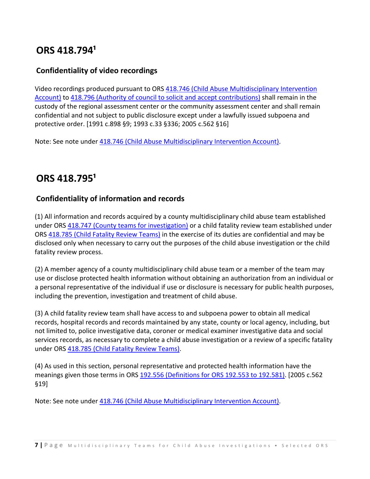### **ORS 418.794¹**

#### **Confidentiality of video recordings**

Video recordings produced pursuant to ORS 418.746 (Child Abuse Multidisciplinary Intervention Account) to 418.796 (Authority of council to solicit and accept contributions) shall remain in the custody of the regional assessment center or the community assessment center and shall remain confidential and not subject to public disclosure except under a lawfully issued subpoena and protective order. [1991 c.898 §9; 1993 c.33 §336; 2005 c.562 §16]

Note: See note under 418.746 (Child Abuse Multidisciplinary Intervention Account).

# **ORS 418.795¹**

#### **Confidentiality of information and records**

(1) All information and records acquired by a county multidisciplinary child abuse team established under ORS 418.747 (County teams for investigation) or a child fatality review team established under ORS 418.785 (Child Fatality Review Teams) in the exercise of its duties are confidential and may be disclosed only when necessary to carry out the purposes of the child abuse investigation or the child fatality review process.

(2) A member agency of a county multidisciplinary child abuse team or a member of the team may use or disclose protected health information without obtaining an authorization from an individual or a personal representative of the individual if use or disclosure is necessary for public health purposes, including the prevention, investigation and treatment of child abuse.

(3) A child fatality review team shall have access to and subpoena power to obtain all medical records, hospital records and records maintained by any state, county or local agency, including, but not limited to, police investigative data, coroner or medical examiner investigative data and social services records, as necessary to complete a child abuse investigation or a review of a specific fatality under ORS 418.785 (Child Fatality Review Teams).

(4) As used in this section, personal representative and protected health information have the meanings given those terms in ORS 192.556 (Definitions for ORS 192.553 to 192.581). [2005 c.562 §19]

Note: See note under 418.746 (Child Abuse Multidisciplinary Intervention Account).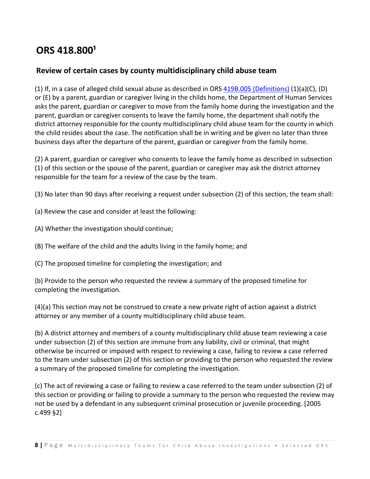### **ORS 418.800¹**

#### **Review of certain cases by county multidisciplinary child abuse team**

(1) If, in a case of alleged child sexual abuse as described in ORS  $419B.005$  (Definitions) (1)(a)(C), (D) or (E) by a parent, guardian or caregiver living in the childs home, the Department of Human Services asks the parent, guardian or caregiver to move from the family home during the investigation and the parent, guardian or caregiver consents to leave the family home, the department shall notify the district attorney responsible for the county multidisciplinary child abuse team for the county in which the child resides about the case. The notification shall be in writing and be given no later than three business days after the departure of the parent, guardian or caregiver from the family home.

(2) A parent, guardian or caregiver who consents to leave the family home as described in subsection (1) of this section or the spouse of the parent, guardian or caregiver may ask the district attorney responsible for the team for a review of the case by the team.

(3) No later than 90 days after receiving a request under subsection (2) of this section, the team shall:

(a) Review the case and consider at least the following:

(A) Whether the investigation should continue;

(B) The welfare of the child and the adults living in the family home; and

(C) The proposed timeline for completing the investigation; and

(b) Provide to the person who requested the review a summary of the proposed timeline for completing the investigation.

(4)(a) This section may not be construed to create a new private right of action against a district attorney or any member of a county multidisciplinary child abuse team.

(b) A district attorney and members of a county multidisciplinary child abuse team reviewing a case under subsection (2) of this section are immune from any liability, civil or criminal, that might otherwise be incurred or imposed with respect to reviewing a case, failing to review a case referred to the team under subsection (2) of this section or providing to the person who requested the review a summary of the proposed timeline for completing the investigation.

(c) The act of reviewing a case or failing to review a case referred to the team under subsection (2) of this section or providing or failing to provide a summary to the person who requested the review may not be used by a defendant in any subsequent criminal prosecution or juvenile proceeding. [2005 c.499 §2]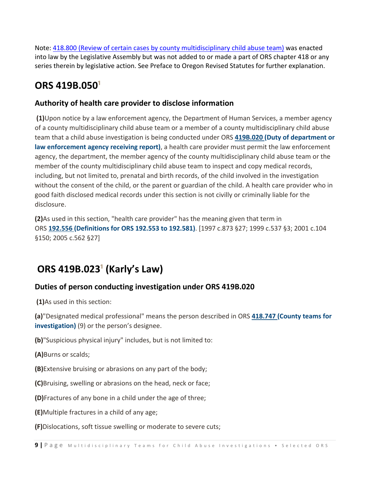Note: 418.800 (Review of certain cases by county multidisciplinary child abuse team) was enacted into law by the Legislative Assembly but was not added to or made a part of ORS chapter 418 or any series therein by legislative action. See Preface to Oregon Revised Statutes for further explanation.

### **ORS** 419B.050<sup>1</sup>

#### **Authority of health care provider to disclose information**

**(1)**Upon notice by a law enforcement agency, the Department of Human Services, a member agency of a county multidisciplinary child abuse team or a member of a county multidisciplinary child abuse team that a child abuse investigation is being conducted under ORS **419B.020 (Duty of department or law enforcement agency receiving report)**, a health care provider must permit the law enforcement agency, the department, the member agency of the county multidisciplinary child abuse team or the member of the county multidisciplinary child abuse team to inspect and copy medical records, including, but not limited to, prenatal and birth records, of the child involved in the investigation without the consent of the child, or the parent or guardian of the child. A health care provider who in good faith disclosed medical records under this section is not civilly or criminally liable for the disclosure.

**(2)**As used in this section, "health care provider" has the meaning given that term in ORS **192.556 (Definitions for ORS 192.553 to 192.581)**. [1997 c.873 §27; 1999 c.537 §3; 2001 c.104 §150; 2005 c.562 §27]

# **ORS 419B.023¹ (Karly's Law)**

### **Duties of person conducting investigation under ORS 419B.020**

**(1)**As used in this section:

**(a)**"Designated medical professional" means the person described in ORS **418.747 (County teams for investigation)** (9) or the person's designee.

**(b)**"Suspicious physical injury" includes, but is not limited to:

**(A)**Burns or scalds;

**(B)**Extensive bruising or abrasions on any part of the body;

**(C)**Bruising, swelling or abrasions on the head, neck or face;

**(D)**Fractures of any bone in a child under the age of three;

**(E)**Multiple fractures in a child of any age;

**(F)**Dislocations, soft tissue swelling or moderate to severe cuts;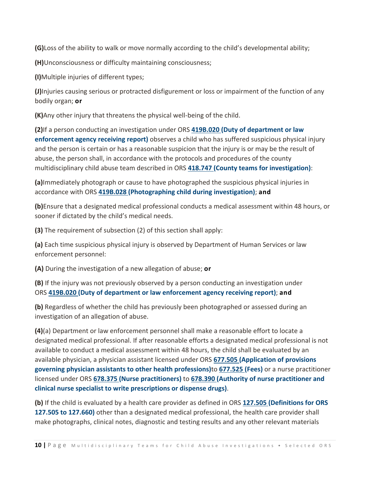**(G)**Loss of the ability to walk or move normally according to the child's developmental ability;

**(H)**Unconsciousness or difficulty maintaining consciousness;

**(I)**Multiple injuries of different types;

**(J)**Injuries causing serious or protracted disfigurement or loss or impairment of the function of any bodily organ; **or**

**(K)**Any other injury that threatens the physical well‐being of the child.

**(2)**If a person conducting an investigation under ORS **419B.020 (Duty of department or law enforcement agency receiving report)** observes a child who has suffered suspicious physical injury and the person is certain or has a reasonable suspicion that the injury is or may be the result of abuse, the person shall, in accordance with the protocols and procedures of the county multidisciplinary child abuse team described in ORS **418.747 (County teams for investigation)**:

**(a)**Immediately photograph or cause to have photographed the suspicious physical injuries in accordance with ORS **419B.028 (Photographing child during investigation)**; **and**

**(b)**Ensure that a designated medical professional conducts a medical assessment within 48 hours, or sooner if dictated by the child's medical needs.

**(3)** The requirement of subsection (2) of this section shall apply:

**(a)** Each time suspicious physical injury is observed by Department of Human Services or law enforcement personnel:

**(A)** During the investigation of a new allegation of abuse; **or**

**(B)** If the injury was not previously observed by a person conducting an investigation under ORS **419B.020 (Duty of department or law enforcement agency receiving report)**; **and**

**(b)** Regardless of whether the child has previously been photographed or assessed during an investigation of an allegation of abuse.

**(4)**(a) Department or law enforcement personnel shall make a reasonable effort to locate a designated medical professional. If after reasonable efforts a designated medical professional is not available to conduct a medical assessment within 48 hours, the child shall be evaluated by an available physician, a physician assistant licensed under ORS **677.505 (Application of provisions governing physician assistants to other health professions)**to **677.525 (Fees)** or a nurse practitioner licensed under ORS **678.375 (Nurse practitioners)** to **678.390 (Authority of nurse practitioner and clinical nurse specialist to write prescriptions or dispense drugs)**.

**(b)** If the child is evaluated by a health care provider as defined in ORS **127.505 (Definitions for ORS 127.505 to 127.660)** other than a designated medical professional, the health care provider shall make photographs, clinical notes, diagnostic and testing results and any other relevant materials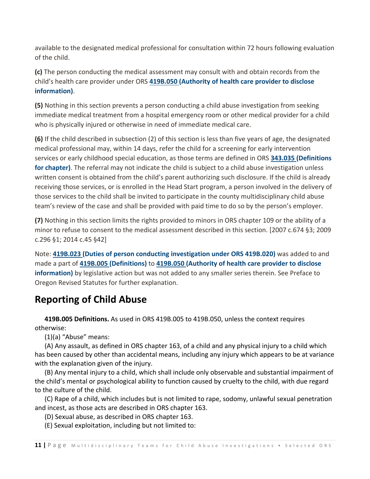available to the designated medical professional for consultation within 72 hours following evaluation of the child.

**(c)** The person conducting the medical assessment may consult with and obtain records from the child's health care provider under ORS **419B.050 (Authority of health care provider to disclose information)**.

**(5)** Nothing in this section prevents a person conducting a child abuse investigation from seeking immediate medical treatment from a hospital emergency room or other medical provider for a child who is physically injured or otherwise in need of immediate medical care.

**(6)** If the child described in subsection (2) of this section is less than five years of age, the designated medical professional may, within 14 days, refer the child for a screening for early intervention services or early childhood special education, as those terms are defined in ORS **343.035 (Definitions for chapter)**. The referral may not indicate the child is subject to a child abuse investigation unless written consent is obtained from the child's parent authorizing such disclosure. If the child is already receiving those services, or is enrolled in the Head Start program, a person involved in the delivery of those services to the child shall be invited to participate in the county multidisciplinary child abuse team's review of the case and shall be provided with paid time to do so by the person's employer.

**(7)** Nothing in this section limits the rights provided to minors in ORS chapter 109 or the ability of a minor to refuse to consent to the medical assessment described in this section. [2007 c.674 §3; 2009 c.296 §1; 2014 c.45 §42]

Note: **419B.023 (Duties of person conducting investigation under ORS 419B.020)** was added to and made a part of **419B.005 (Definitions)** to **419B.050 (Authority of health care provider to disclose information)** by legislative action but was not added to any smaller series therein. See Preface to Oregon Revised Statutes for further explanation.

# **Reporting of Child Abuse**

 **419B.005 Definitions.** As used in ORS 419B.005 to 419B.050, unless the context requires otherwise:

(1)(a) "Abuse" means:

 (A) Any assault, as defined in ORS chapter 163, of a child and any physical injury to a child which has been caused by other than accidental means, including any injury which appears to be at variance with the explanation given of the injury.

 (B) Any mental injury to a child, which shall include only observable and substantial impairment of the child's mental or psychological ability to function caused by cruelty to the child, with due regard to the culture of the child.

 (C) Rape of a child, which includes but is not limited to rape, sodomy, unlawful sexual penetration and incest, as those acts are described in ORS chapter 163.

(D) Sexual abuse, as described in ORS chapter 163.

(E) Sexual exploitation, including but not limited to: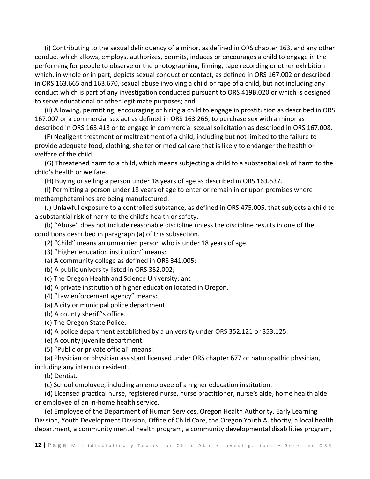(i) Contributing to the sexual delinquency of a minor, as defined in ORS chapter 163, and any other conduct which allows, employs, authorizes, permits, induces or encourages a child to engage in the performing for people to observe or the photographing, filming, tape recording or other exhibition which, in whole or in part, depicts sexual conduct or contact, as defined in ORS 167.002 or described in ORS 163.665 and 163.670, sexual abuse involving a child or rape of a child, but not including any conduct which is part of any investigation conducted pursuant to ORS 419B.020 or which is designed to serve educational or other legitimate purposes; and

 (ii) Allowing, permitting, encouraging or hiring a child to engage in prostitution as described in ORS 167.007 or a commercial sex act as defined in ORS 163.266, to purchase sex with a minor as described in ORS 163.413 or to engage in commercial sexual solicitation as described in ORS 167.008.

 (F) Negligent treatment or maltreatment of a child, including but not limited to the failure to provide adequate food, clothing, shelter or medical care that is likely to endanger the health or welfare of the child.

 (G) Threatened harm to a child, which means subjecting a child to a substantial risk of harm to the child's health or welfare.

(H) Buying or selling a person under 18 years of age as described in ORS 163.537.

 (I) Permitting a person under 18 years of age to enter or remain in or upon premises where methamphetamines are being manufactured.

 (J) Unlawful exposure to a controlled substance, as defined in ORS 475.005, that subjects a child to a substantial risk of harm to the child's health or safety.

 (b) "Abuse" does not include reasonable discipline unless the discipline results in one of the conditions described in paragraph (a) of this subsection.

(2) "Child" means an unmarried person who is under 18 years of age.

(3) "Higher education institution" means:

(a) A community college as defined in ORS 341.005;

(b) A public university listed in ORS 352.002;

(c) The Oregon Health and Science University; and

(d) A private institution of higher education located in Oregon.

(4) "Law enforcement agency" means:

(a) A city or municipal police department.

(b) A county sheriff's office.

(c) The Oregon State Police.

(d) A police department established by a university under ORS 352.121 or 353.125.

(e) A county juvenile department.

(5) "Public or private official" means:

(a) Physician or physician assistant licensed under ORS chapter 677 or naturopathic physician,

including any intern or resident.

(b) Dentist.

(c) School employee, including an employee of a higher education institution.

 (d) Licensed practical nurse, registered nurse, nurse practitioner, nurse's aide, home health aide or employee of an in‐home health service.

 (e) Employee of the Department of Human Services, Oregon Health Authority, Early Learning Division, Youth Development Division, Office of Child Care, the Oregon Youth Authority, a local health department, a community mental health program, a community developmental disabilities program,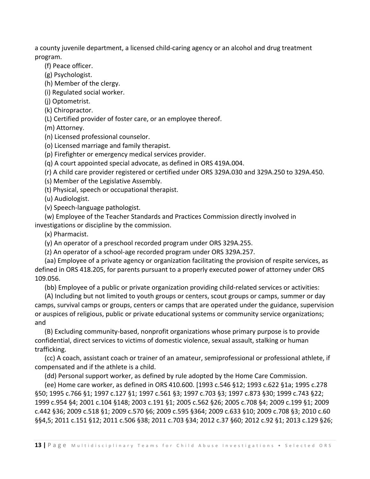a county juvenile department, a licensed child‐caring agency or an alcohol and drug treatment program.

(f) Peace officer.

(g) Psychologist.

(h) Member of the clergy.

(i) Regulated social worker.

(j) Optometrist.

(k) Chiropractor.

(L) Certified provider of foster care, or an employee thereof.

(m) Attorney.

(n) Licensed professional counselor.

(o) Licensed marriage and family therapist.

(p) Firefighter or emergency medical services provider.

(q) A court appointed special advocate, as defined in ORS 419A.004.

(r) A child care provider registered or certified under ORS 329A.030 and 329A.250 to 329A.450.

(s) Member of the Legislative Assembly.

(t) Physical, speech or occupational therapist.

(u) Audiologist.

(v) Speech‐language pathologist.

 (w) Employee of the Teacher Standards and Practices Commission directly involved in investigations or discipline by the commission.

(x) Pharmacist.

(y) An operator of a preschool recorded program under ORS 329A.255.

(z) An operator of a school‐age recorded program under ORS 329A.257.

 (aa) Employee of a private agency or organization facilitating the provision of respite services, as defined in ORS 418.205, for parents pursuant to a properly executed power of attorney under ORS 109.056.

(bb) Employee of a public or private organization providing child‐related services or activities:

 (A) Including but not limited to youth groups or centers, scout groups or camps, summer or day camps, survival camps or groups, centers or camps that are operated under the guidance, supervision or auspices of religious, public or private educational systems or community service organizations; and

 (B) Excluding community‐based, nonprofit organizations whose primary purpose is to provide confidential, direct services to victims of domestic violence, sexual assault, stalking or human trafficking.

 (cc) A coach, assistant coach or trainer of an amateur, semiprofessional or professional athlete, if compensated and if the athlete is a child.

(dd) Personal support worker, as defined by rule adopted by the Home Care Commission.

 (ee) Home care worker, as defined in ORS 410.600. [1993 c.546 §12; 1993 c.622 §1a; 1995 c.278 §50; 1995 c.766 §1; 1997 c.127 §1; 1997 c.561 §3; 1997 c.703 §3; 1997 c.873 §30; 1999 c.743 §22; 1999 c.954 §4; 2001 c.104 §148; 2003 c.191 §1; 2005 c.562 §26; 2005 c.708 §4; 2009 c.199 §1; 2009 c.442 §36; 2009 c.518 §1; 2009 c.570 §6; 2009 c.595 §364; 2009 c.633 §10; 2009 c.708 §3; 2010 c.60 §§4,5; 2011 c.151 §12; 2011 c.506 §38; 2011 c.703 §34; 2012 c.37 §60; 2012 c.92 §1; 2013 c.129 §26;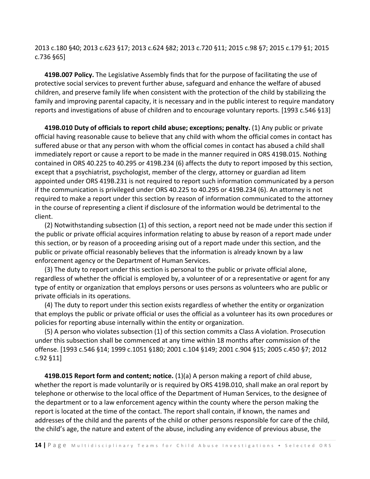2013 c.180 §40; 2013 c.623 §17; 2013 c.624 §82; 2013 c.720 §11; 2015 c.98 §7; 2015 c.179 §1; 2015 c.736 §65]

 **419B.007 Policy.** The Legislative Assembly finds that for the purpose of facilitating the use of protective social services to prevent further abuse, safeguard and enhance the welfare of abused children, and preserve family life when consistent with the protection of the child by stabilizing the family and improving parental capacity, it is necessary and in the public interest to require mandatory reports and investigations of abuse of children and to encourage voluntary reports. [1993 c.546 §13]

 **419B.010 Duty of officials to report child abuse; exceptions; penalty.** (1) Any public or private official having reasonable cause to believe that any child with whom the official comes in contact has suffered abuse or that any person with whom the official comes in contact has abused a child shall immediately report or cause a report to be made in the manner required in ORS 419B.015. Nothing contained in ORS 40.225 to 40.295 or 419B.234 (6) affects the duty to report imposed by this section, except that a psychiatrist, psychologist, member of the clergy, attorney or guardian ad litem appointed under ORS 419B.231 is not required to report such information communicated by a person if the communication is privileged under ORS 40.225 to 40.295 or 419B.234 (6). An attorney is not required to make a report under this section by reason of information communicated to the attorney in the course of representing a client if disclosure of the information would be detrimental to the client.

 (2) Notwithstanding subsection (1) of this section, a report need not be made under this section if the public or private official acquires information relating to abuse by reason of a report made under this section, or by reason of a proceeding arising out of a report made under this section, and the public or private official reasonably believes that the information is already known by a law enforcement agency or the Department of Human Services.

 (3) The duty to report under this section is personal to the public or private official alone, regardless of whether the official is employed by, a volunteer of or a representative or agent for any type of entity or organization that employs persons or uses persons as volunteers who are public or private officials in its operations.

 (4) The duty to report under this section exists regardless of whether the entity or organization that employs the public or private official or uses the official as a volunteer has its own procedures or policies for reporting abuse internally within the entity or organization.

 (5) A person who violates subsection (1) of this section commits a Class A violation. Prosecution under this subsection shall be commenced at any time within 18 months after commission of the offense. [1993 c.546 §14; 1999 c.1051 §180; 2001 c.104 §149; 2001 c.904 §15; 2005 c.450 §7; 2012 c.92 §11]

 **419B.015 Report form and content; notice.** (1)(a) A person making a report of child abuse, whether the report is made voluntarily or is required by ORS 419B.010, shall make an oral report by telephone or otherwise to the local office of the Department of Human Services, to the designee of the department or to a law enforcement agency within the county where the person making the report is located at the time of the contact. The report shall contain, if known, the names and addresses of the child and the parents of the child or other persons responsible for care of the child, the child's age, the nature and extent of the abuse, including any evidence of previous abuse, the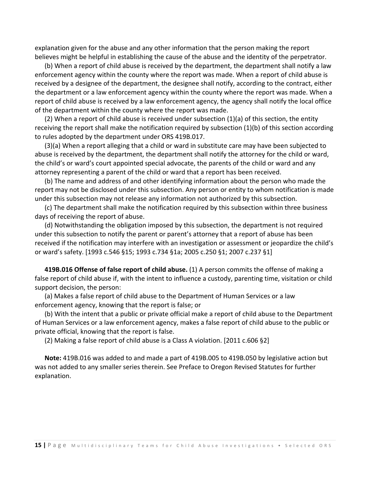explanation given for the abuse and any other information that the person making the report believes might be helpful in establishing the cause of the abuse and the identity of the perpetrator.

 (b) When a report of child abuse is received by the department, the department shall notify a law enforcement agency within the county where the report was made. When a report of child abuse is received by a designee of the department, the designee shall notify, according to the contract, either the department or a law enforcement agency within the county where the report was made. When a report of child abuse is received by a law enforcement agency, the agency shall notify the local office of the department within the county where the report was made.

 (2) When a report of child abuse is received under subsection (1)(a) of this section, the entity receiving the report shall make the notification required by subsection (1)(b) of this section according to rules adopted by the department under ORS 419B.017.

 (3)(a) When a report alleging that a child or ward in substitute care may have been subjected to abuse is received by the department, the department shall notify the attorney for the child or ward, the child's or ward's court appointed special advocate, the parents of the child or ward and any attorney representing a parent of the child or ward that a report has been received.

 (b) The name and address of and other identifying information about the person who made the report may not be disclosed under this subsection. Any person or entity to whom notification is made under this subsection may not release any information not authorized by this subsection.

 (c) The department shall make the notification required by this subsection within three business days of receiving the report of abuse.

 (d) Notwithstanding the obligation imposed by this subsection, the department is not required under this subsection to notify the parent or parent's attorney that a report of abuse has been received if the notification may interfere with an investigation or assessment or jeopardize the child's or ward's safety. [1993 c.546 §15; 1993 c.734 §1a; 2005 c.250 §1; 2007 c.237 §1]

 **419B.016 Offense of false report of child abuse.** (1) A person commits the offense of making a false report of child abuse if, with the intent to influence a custody, parenting time, visitation or child support decision, the person:

 (a) Makes a false report of child abuse to the Department of Human Services or a law enforcement agency, knowing that the report is false; or

 (b) With the intent that a public or private official make a report of child abuse to the Department of Human Services or a law enforcement agency, makes a false report of child abuse to the public or private official, knowing that the report is false.

(2) Making a false report of child abuse is a Class A violation. [2011 c.606 §2]

 **Note:** 419B.016 was added to and made a part of 419B.005 to 419B.050 by legislative action but was not added to any smaller series therein. See Preface to Oregon Revised Statutes for further explanation.